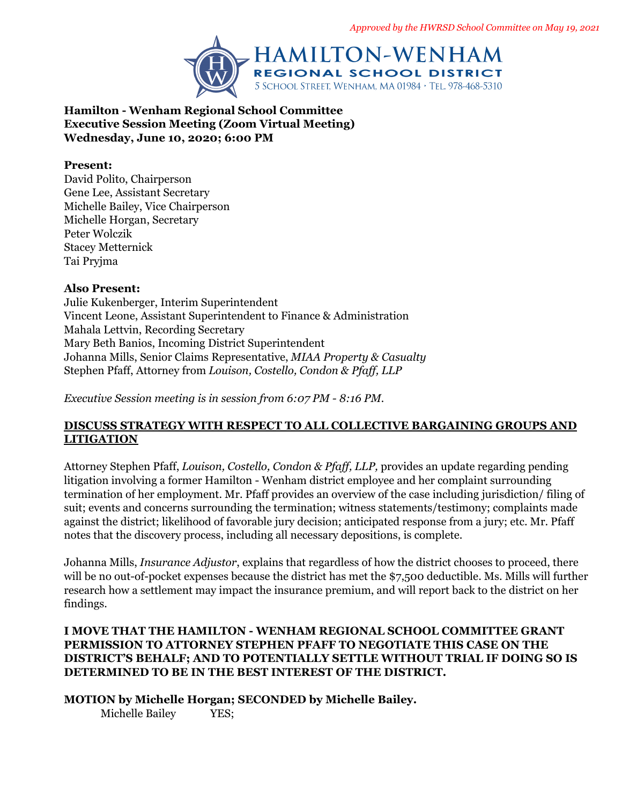

**Hamilton - Wenham Regional School Committee Executive Session Meeting (Zoom Virtual Meeting) Wednesday, June 10, 2020; 6:00 PM**

#### **Present:**

David Polito, Chairperson Gene Lee, Assistant Secretary Michelle Bailey, Vice Chairperson Michelle Horgan, Secretary Peter Wolczik Stacey Metternick Tai Pryjma

### **Also Present:**

Julie Kukenberger, Interim Superintendent Vincent Leone, Assistant Superintendent to Finance & Administration Mahala Lettvin, Recording Secretary Mary Beth Banios, Incoming District Superintendent Johanna Mills, Senior Claims Representative, *MIAA Property & Casualty* Stephen Pfaff, Attorney from *Louison, Costello, Condon & Pfaff, LLP*

*Executive Session meeting is in session from 6:07 PM - 8:16 PM.*

# **DISCUSS STRATEGY WITH RESPECT TO ALL COLLECTIVE BARGAINING GROUPS AND LITIGATION**

Attorney Stephen Pfaff, *Louison, Costello, Condon & Pfaff, LLP,* provides an update regarding pending litigation involving a former Hamilton - Wenham district employee and her complaint surrounding termination of her employment. Mr. Pfaff provides an overview of the case including jurisdiction/ filing of suit; events and concerns surrounding the termination; witness statements/testimony; complaints made against the district; likelihood of favorable jury decision; anticipated response from a jury; etc. Mr. Pfaff notes that the discovery process, including all necessary depositions, is complete.

Johanna Mills, *Insurance Adjustor*, explains that regardless of how the district chooses to proceed, there will be no out-of-pocket expenses because the district has met the \$7,500 deductible. Ms. Mills will further research how a settlement may impact the insurance premium, and will report back to the district on her findings.

### **I MOVE THAT THE HAMILTON - WENHAM REGIONAL SCHOOL COMMITTEE GRANT PERMISSION TO ATTORNEY STEPHEN PFAFF TO NEGOTIATE THIS CASE ON THE DISTRICT'S BEHALF; AND TO POTENTIALLY SETTLE WITHOUT TRIAL IF DOING SO IS DETERMINED TO BE IN THE BEST INTEREST OF THE DISTRICT.**

**MOTION by Michelle Horgan; SECONDED by Michelle Bailey.**

Michelle Bailey YES;